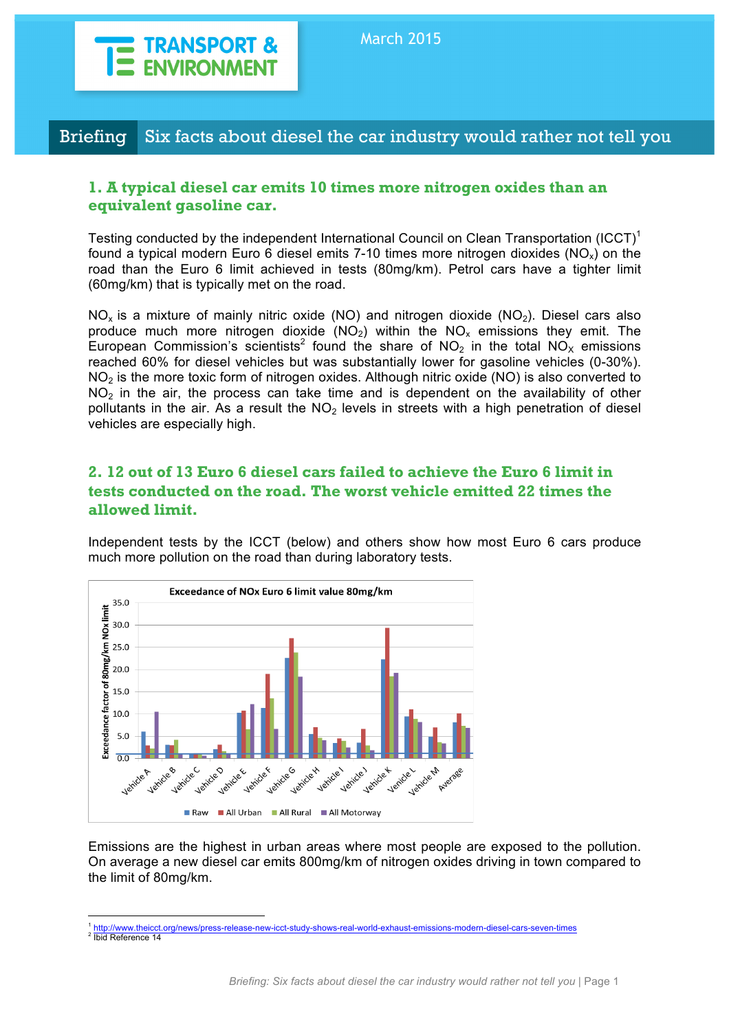

# Briefing Six facts about diesel the car industry would rather not tell you

#### **1. A typical diesel car emits 10 times more nitrogen oxides than an equivalent gasoline car.**

Testing conducted by the independent International Council on Clean Transportation (ICCT)<sup>1</sup> found a typical modern Euro 6 diesel emits 7-10 times more nitrogen dioxides ( $NO<sub>x</sub>$ ) on the road than the Euro 6 limit achieved in tests (80mg/km). Petrol cars have a tighter limit (60mg/km) that is typically met on the road.

 $NO<sub>x</sub>$  is a mixture of mainly nitric oxide (NO) and nitrogen dioxide (NO<sub>2</sub>). Diesel cars also produce much more nitrogen dioxide  $(NO<sub>2</sub>)$  within the  $NO<sub>x</sub>$  emissions they emit. The European Commission's scientists<sup>2</sup> found the share of NO<sub>2</sub> in the total NO<sub>x</sub> emissions reached 60% for diesel vehicles but was substantially lower for gasoline vehicles (0-30%).  $NO<sub>2</sub>$  is the more toxic form of nitrogen oxides. Although nitric oxide (NO) is also converted to  $NO<sub>2</sub>$  in the air, the process can take time and is dependent on the availability of other pollutants in the air. As a result the  $NO<sub>2</sub>$  levels in streets with a high penetration of diesel vehicles are especially high.

### **2. 12 out of 13 Euro 6 diesel cars failed to achieve the Euro 6 limit in tests conducted on the road. The worst vehicle emitted 22 times the allowed limit.**

Independent tests by the ICCT (below) and others show how most Euro 6 cars produce much more pollution on the road than during laboratory tests.



Emissions are the highest in urban areas where most people are exposed to the pollution. On average a new diesel car emits 800mg/km of nitrogen oxides driving in town compared to the limit of 80mg/km.

<sup>1</sup> http://www.theicct.org/news/press-release-new-icct-study-shows-real-world-exhaust-emissions-modern-diesel-cars-seven-times <sup>2</sup> Ibid Reference 14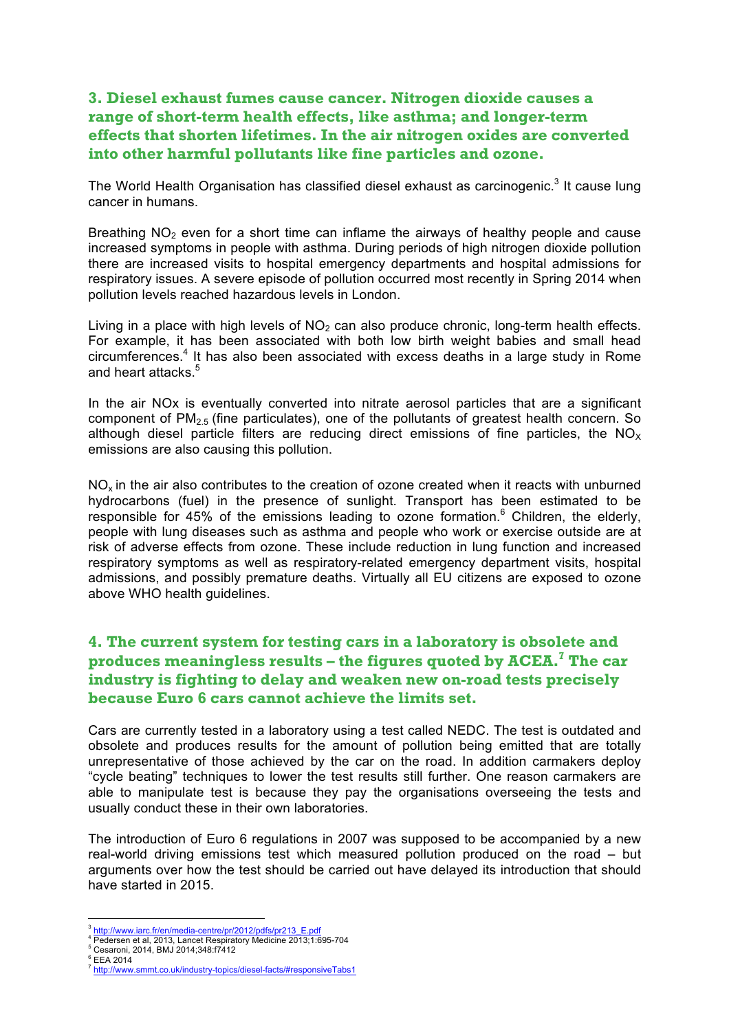## **3. Diesel exhaust fumes cause cancer. Nitrogen dioxide causes a range of short-term health effects, like asthma; and longer-term effects that shorten lifetimes. In the air nitrogen oxides are converted into other harmful pollutants like fine particles and ozone.**

The World Health Organisation has classified diesel exhaust as carcinogenic.<sup>3</sup> It cause lung cancer in humans.

Breathing  $NO<sub>2</sub>$  even for a short time can inflame the airways of healthy people and cause increased symptoms in people with asthma. During periods of high nitrogen dioxide pollution there are increased visits to hospital emergency departments and hospital admissions for respiratory issues. A severe episode of pollution occurred most recently in Spring 2014 when pollution levels reached hazardous levels in London.

Living in a place with high levels of  $NO<sub>2</sub>$  can also produce chronic, long-term health effects. For example, it has been associated with both low birth weight babies and small head circumferences.4 It has also been associated with excess deaths in a large study in Rome and heart attacks<sup>5</sup>

In the air NOx is eventually converted into nitrate aerosol particles that are a significant component of  $PM_{2.5}$  (fine particulates), one of the pollutants of greatest health concern. So although diesel particle filters are reducing direct emissions of fine particles, the  $NO<sub>x</sub>$ emissions are also causing this pollution.

 $NO<sub>x</sub>$  in the air also contributes to the creation of ozone created when it reacts with unburned hydrocarbons (fuel) in the presence of sunlight. Transport has been estimated to be responsible for 45% of the emissions leading to ozone formation.<sup>6</sup> Children, the elderly, people with lung diseases such as asthma and people who work or exercise outside are at risk of adverse effects from ozone. These include reduction in lung function and increased respiratory symptoms as well as respiratory-related emergency department visits, hospital admissions, and possibly premature deaths. Virtually all EU citizens are exposed to ozone above WHO health guidelines.

## **4. The current system for testing cars in a laboratory is obsolete and produces meaningless results – the figures quoted by ACEA.7 The car industry is fighting to delay and weaken new on-road tests precisely because Euro 6 cars cannot achieve the limits set.**

Cars are currently tested in a laboratory using a test called NEDC. The test is outdated and obsolete and produces results for the amount of pollution being emitted that are totally unrepresentative of those achieved by the car on the road. In addition carmakers deploy "cycle beating" techniques to lower the test results still further. One reason carmakers are able to manipulate test is because they pay the organisations overseeing the tests and usually conduct these in their own laboratories.

The introduction of Euro 6 regulations in 2007 was supposed to be accompanied by a new real-world driving emissions test which measured pollution produced on the road – but arguments over how the test should be carried out have delayed its introduction that should have started in 2015.

http://www.iarc.fr/en/media-centre/pr/2012/pdfs/pr213\_E.pdf<br>Pedersen et al, 2013, Lancet Respiratory Medicine 2013;1:695-704<br>Cesaroni, 2014, BMJ 2014;348:f7412<br>EEA 2014<br>http://www.smmt.co.uk/industry-topics/diesel-facts/#r